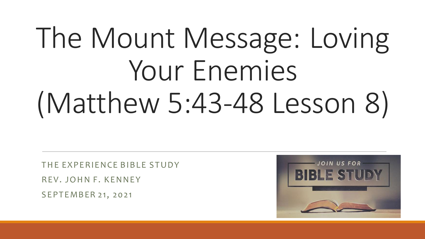# The Mount Message: Loving Your Enemies (Matthew 5:43-48 Lesson 8)

THE EXPERIENCE BIBLE STUDY REV. JOHN F. KENNEY SEPTEMBER 21, 2021

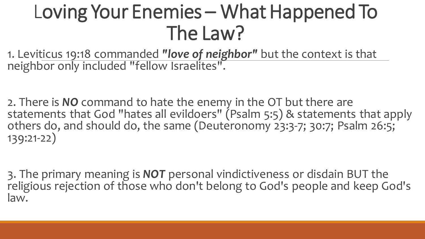#### Loving Your Enemies – What Happened To The Law?

1. Leviticus 19:18 commanded *"love of neighbor"* but the context is that neighbor only included "fellow Israelites".

2. There is *NO* command to hate the enemy in the OT but there are statements that God "hates all evildoers" (Psalm 5:5) & statements that apply others do, and should do, the same (Deuteronomy 23:3-7; 30:7; Psalm 26:5; 139:21-22)

3. The primary meaning is *NOT* personal vindictiveness or disdain BUT the religious rejection of those who don't belong to God's people and keep God's law.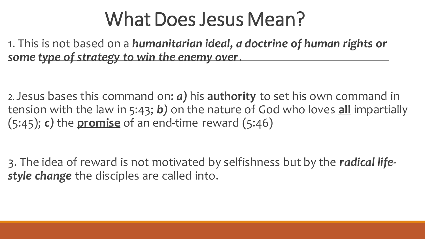#### What Does Jesus Mean?

1. This is not based on a *humanitarian ideal, a doctrine of human rights or some type of strategy to win the enemy over*.

2. Jesus bases this command on: *a)* his **authority** to set his own command in tension with the law in 5:43; *b)* on the nature of God who loves **all** impartially (5:45); *c)* the **promise** of an end-time reward (5:46)

3. The idea of reward is not motivated by selfishness but by the *radical lifestyle change* the disciples are called into.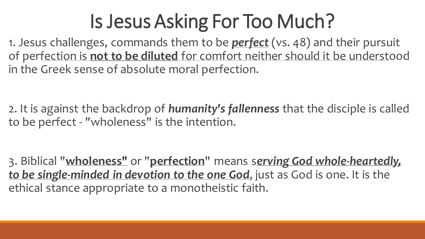### Is Jesus Asking For Too Much?

1. Jesus challenges, commands them to be *perfect* (vs. 48) and their pursuit of perfection is **not to be diluted** for comfort neither should it be understood in the Greek sense of absolute moral perfection.

2. It is against the backdrop of *humanity's fallenness* that the disciple is called to be perfect - "wholeness" is the intention.

3. Biblical "**wholeness"** or "**perfection**" means s*erving God whole-heartedly, to be single-minded in devotion to the one God*, just as God is one. It is the ethical stance appropriate to a monotheistic faith.